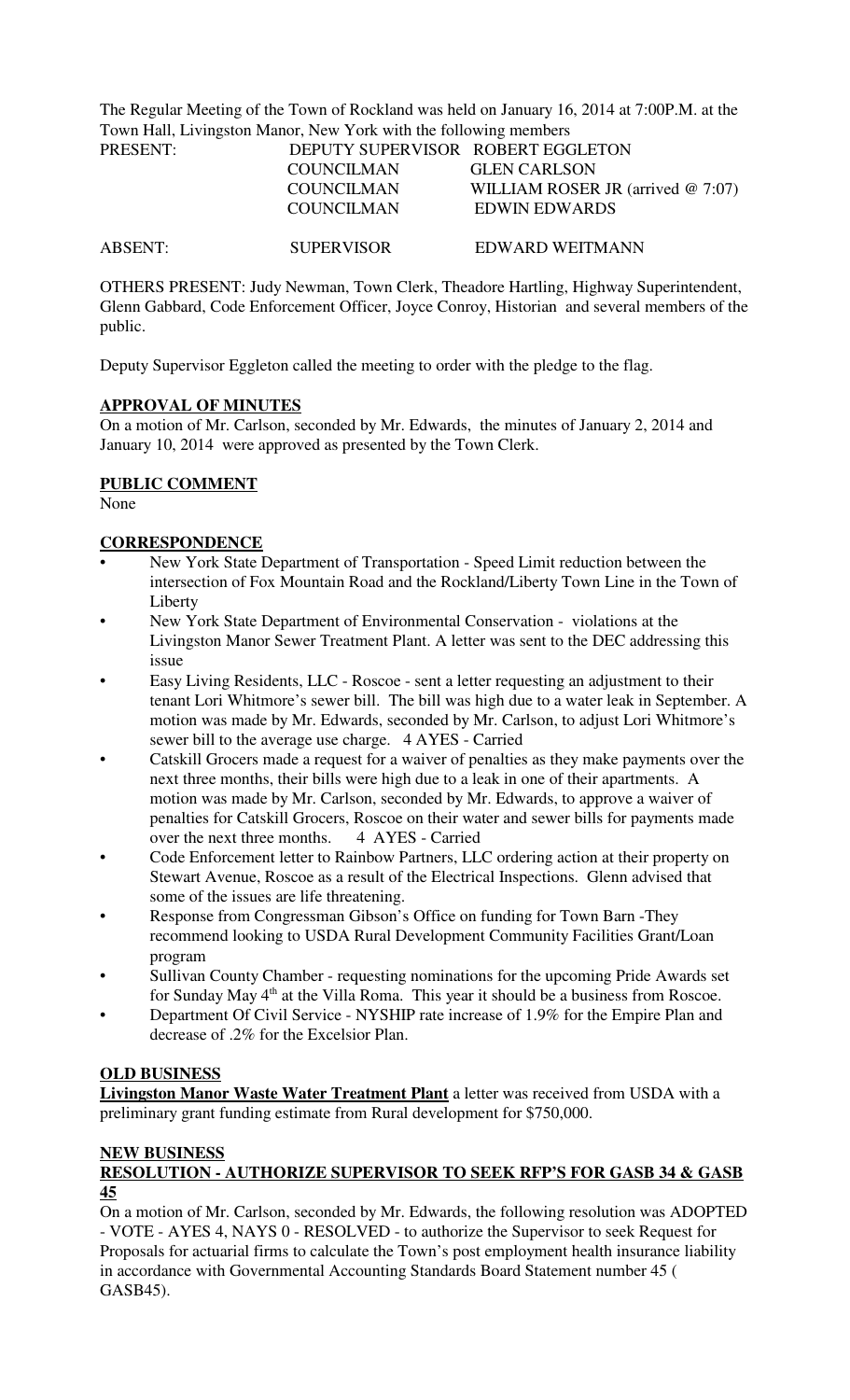The Regular Meeting of the Town of Rockland was held on January 16, 2014 at 7:00P.M. at the Town Hall, Livingston Manor, New York with the following members

| PRESENT:       | DEPUTY SUPERVISOR ROBERT EGGLETON |                                      |
|----------------|-----------------------------------|--------------------------------------|
|                | <b>COUNCILMAN</b>                 | <b>GLEN CARLSON</b>                  |
|                | <b>COUNCILMAN</b>                 | WILLIAM ROSER JR (arrived $@ 7:07$ ) |
|                | <b>COUNCILMAN</b>                 | EDWIN EDWARDS                        |
|                |                                   |                                      |
| <b>ABSENT:</b> | <b>SUPERVISOR</b>                 | EDWARD WEITMANN                      |

OTHERS PRESENT: Judy Newman, Town Clerk, Theadore Hartling, Highway Superintendent, Glenn Gabbard, Code Enforcement Officer, Joyce Conroy, Historian and several members of the public.

Deputy Supervisor Eggleton called the meeting to order with the pledge to the flag.

## **APPROVAL OF MINUTES**

On a motion of Mr. Carlson, seconded by Mr. Edwards, the minutes of January 2, 2014 and January 10, 2014 were approved as presented by the Town Clerk.

## **PUBLIC COMMENT**

None

## **CORRESPONDENCE**

- New York State Department of Transportation Speed Limit reduction between the intersection of Fox Mountain Road and the Rockland/Liberty Town Line in the Town of Liberty
- New York State Department of Environmental Conservation violations at the Livingston Manor Sewer Treatment Plant. A letter was sent to the DEC addressing this issue
- Easy Living Residents, LLC Roscoe sent a letter requesting an adjustment to their tenant Lori Whitmore's sewer bill. The bill was high due to a water leak in September. A motion was made by Mr. Edwards, seconded by Mr. Carlson, to adjust Lori Whitmore's sewer bill to the average use charge. 4 AYES - Carried
- Catskill Grocers made a request for a waiver of penalties as they make payments over the next three months, their bills were high due to a leak in one of their apartments. A motion was made by Mr. Carlson, seconded by Mr. Edwards, to approve a waiver of penalties for Catskill Grocers, Roscoe on their water and sewer bills for payments made over the next three months. 4 AYES - Carried
- Code Enforcement letter to Rainbow Partners, LLC ordering action at their property on Stewart Avenue, Roscoe as a result of the Electrical Inspections. Glenn advised that some of the issues are life threatening.
- Response from Congressman Gibson's Office on funding for Town Barn -They recommend looking to USDA Rural Development Community Facilities Grant/Loan program
- Sullivan County Chamber requesting nominations for the upcoming Pride Awards set for Sunday May 4<sup>th</sup> at the Villa Roma. This year it should be a business from Roscoe.
- Department Of Civil Service NYSHIP rate increase of 1.9% for the Empire Plan and decrease of .2% for the Excelsior Plan.

### **OLD BUSINESS**

**Livingston Manor Waste Water Treatment Plant** a letter was received from USDA with a preliminary grant funding estimate from Rural development for \$750,000.

# **NEW BUSINESS**

# **RESOLUTION - AUTHORIZE SUPERVISOR TO SEEK RFP'S FOR GASB 34 & GASB 45**

On a motion of Mr. Carlson, seconded by Mr. Edwards, the following resolution was ADOPTED - VOTE - AYES 4, NAYS 0 - RESOLVED - to authorize the Supervisor to seek Request for Proposals for actuarial firms to calculate the Town's post employment health insurance liability in accordance with Governmental Accounting Standards Board Statement number 45 ( GASB45).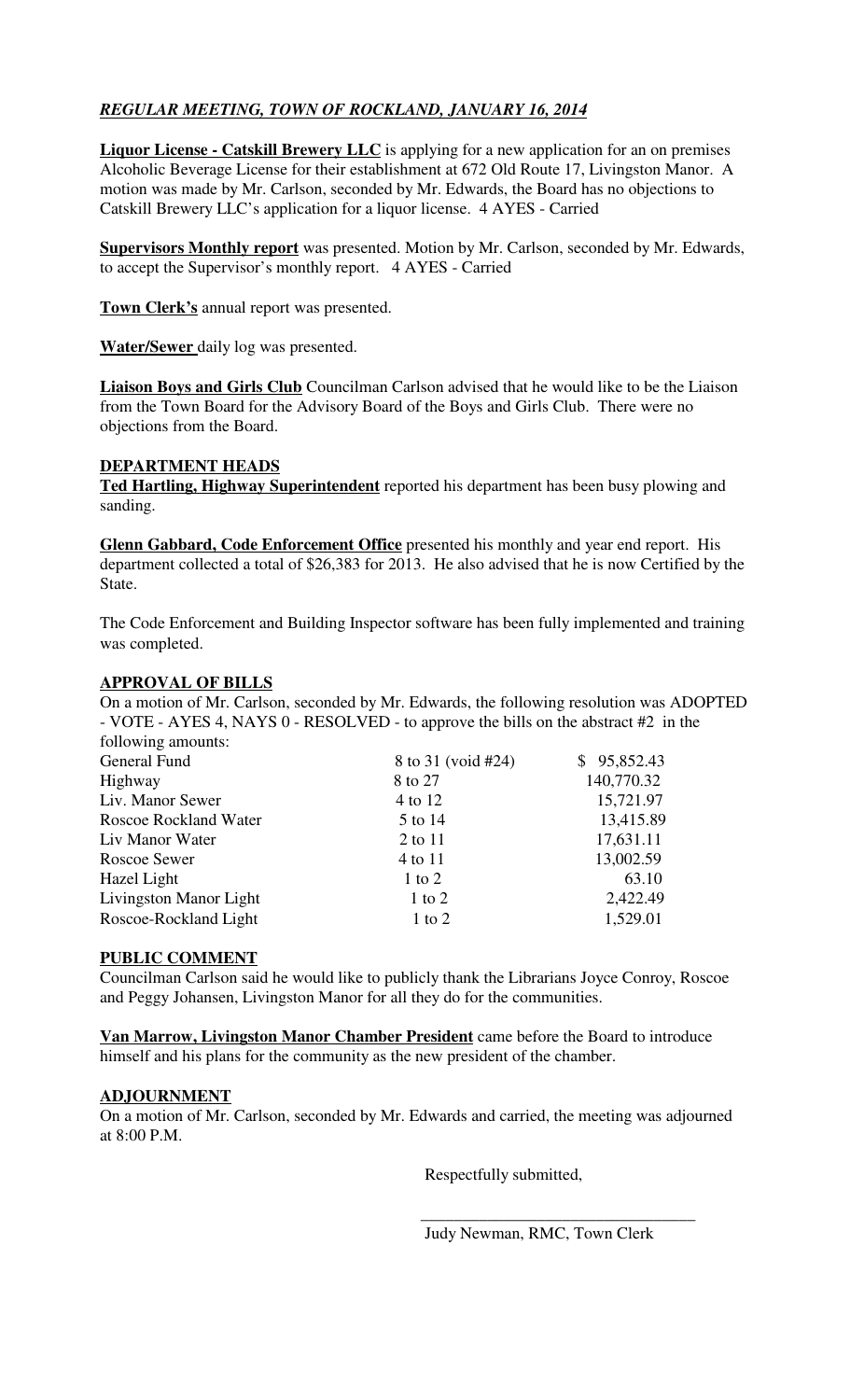# *REGULAR MEETING, TOWN OF ROCKLAND, JANUARY 16, 2014*

**Liquor License - Catskill Brewery LLC** is applying for a new application for an on premises Alcoholic Beverage License for their establishment at 672 Old Route 17, Livingston Manor. A motion was made by Mr. Carlson, seconded by Mr. Edwards, the Board has no objections to Catskill Brewery LLC's application for a liquor license. 4 AYES - Carried

**Supervisors Monthly report** was presented. Motion by Mr. Carlson, seconded by Mr. Edwards, to accept the Supervisor's monthly report. 4 AYES - Carried

**Town Clerk's** annual report was presented.

**Water/Sewer** daily log was presented.

**Liaison Boys and Girls Club** Councilman Carlson advised that he would like to be the Liaison from the Town Board for the Advisory Board of the Boys and Girls Club. There were no objections from the Board.

### **DEPARTMENT HEADS**

**Ted Hartling, Highway Superintendent** reported his department has been busy plowing and sanding.

**Glenn Gabbard, Code Enforcement Office** presented his monthly and year end report. His department collected a total of \$26,383 for 2013. He also advised that he is now Certified by the State.

The Code Enforcement and Building Inspector software has been fully implemented and training was completed.

# **APPROVAL OF BILLS**

On a motion of Mr. Carlson, seconded by Mr. Edwards, the following resolution was ADOPTED - VOTE - AYES 4, NAYS 0 - RESOLVED - to approve the bills on the abstract #2 in the following amounts:

| General Fund                 | 8 to 31 (void #24) | \$95,852.43 |
|------------------------------|--------------------|-------------|
| Highway                      | 8 to 27            | 140,770.32  |
| Liv. Manor Sewer             | 4 to 12            | 15,721.97   |
| <b>Roscoe Rockland Water</b> | 5 to 14            | 13,415.89   |
| Liv Manor Water              | 2 to 11            | 17,631.11   |
| Roscoe Sewer                 | 4 to 11            | 13,002.59   |
| Hazel Light                  | $1$ to $2$         | 63.10       |
| Livingston Manor Light       | $1$ to $2$         | 2,422.49    |
| Roscoe-Rockland Light        | $1$ to $2$         | 1,529.01    |
|                              |                    |             |

### **PUBLIC COMMENT**

Councilman Carlson said he would like to publicly thank the Librarians Joyce Conroy, Roscoe and Peggy Johansen, Livingston Manor for all they do for the communities.

**Van Marrow, Livingston Manor Chamber President** came before the Board to introduce himself and his plans for the community as the new president of the chamber.

### **ADJOURNMENT**

On a motion of Mr. Carlson, seconded by Mr. Edwards and carried, the meeting was adjourned at 8:00 P.M.

 $\overline{\phantom{a}}$  ,  $\overline{\phantom{a}}$  ,  $\overline{\phantom{a}}$  ,  $\overline{\phantom{a}}$  ,  $\overline{\phantom{a}}$  ,  $\overline{\phantom{a}}$  ,  $\overline{\phantom{a}}$  ,  $\overline{\phantom{a}}$  ,  $\overline{\phantom{a}}$  ,  $\overline{\phantom{a}}$  ,  $\overline{\phantom{a}}$  ,  $\overline{\phantom{a}}$  ,  $\overline{\phantom{a}}$  ,  $\overline{\phantom{a}}$  ,  $\overline{\phantom{a}}$  ,  $\overline{\phantom{a}}$ 

Respectfully submitted,

Judy Newman, RMC, Town Clerk